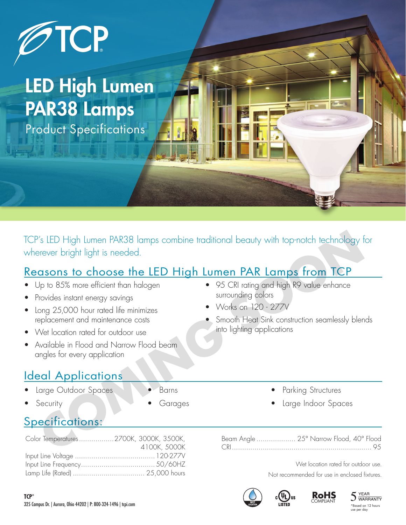

## LED High Lumen PAR38 Lamps

Product Specifications

TCP's LED High Lumen PAR38 lamps combine traditional beauty with top-notch technology for wherever bright light is needed. V's IED High lumen PAR38 lamps combine traditional beauty with top-notch technology for<br>
stever bright light is needed.<br> **COMING SOMING SOMING SOMING SOMING SOMING SOMING SOMING SOMING SOMING SOMING SOMING SOMING SOMING SO** 

#### Reasons to choose the LED High Lumen PAR Lamps from TCP

- Up to 85% more efficient than halogen
- Provides instant energy savings
- Long 25,000 hour rated life minimizes replacement and maintenance costs
- Wet location rated for outdoor use
- Available in Flood and Narrow Flood beam angles for every application

### Ideal Applications

- Large Outdoor Spaces
- **Security**
- Barns
- **Garages**

## Specifications:

| Color Temperatures2700K, 3000K, 3500K, |
|----------------------------------------|
| 4100K, 5000K                           |
|                                        |
|                                        |
|                                        |

- 95 CRI rating and high R9 value enhance surrounding colors
- Works on 120 277V
- Smooth Heat Sink construction seamlessly blends into lighting applications
	- Parking Structures
	- Large Indoor Spaces

Beam Angle ................... 25° Narrow Flood, 40° Flood CRI.................................................................... 95

Wet location rated for outdoor use.

Not recommended for use in enclosed fixtures.

**RoHS** COMPLIANT







d on 12 hours use per day